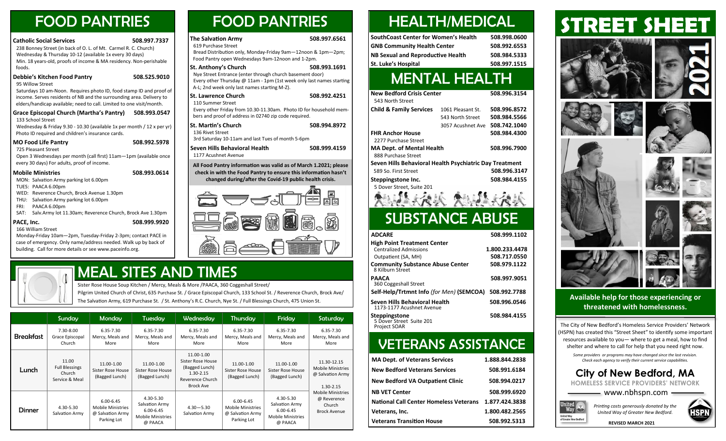## FOOD PANTRIES FOOD PANTRIES

| <b>Catholic Social Services</b><br>238 Bonney Street (in back of O. L. of Mt. Carmel R. C. Church)<br>Wednesday & Thursday 10-12 (available 1x every 30 days)<br>Min. 18 years-old, proofs of income & MA residency. Non-perishable | 508.997.7337 | <b>The Salvation Army</b><br>619 Purchase Street<br>Bread Distribution only, Monday-Friday 9am-12noon & 1pm-2pm;<br>Food Pantry open Wednesdays 9am-12noon and 1-2pm.            | 508.997.6561 |
|-------------------------------------------------------------------------------------------------------------------------------------------------------------------------------------------------------------------------------------|--------------|----------------------------------------------------------------------------------------------------------------------------------------------------------------------------------|--------------|
| foods.                                                                                                                                                                                                                              |              | <b>St. Anthony's Church</b>                                                                                                                                                      | 508.993.1691 |
| Debbie's Kitchen Food Pantry<br>95 Willow Street<br>Saturdays 10 am-Noon. Requires photo ID, food stamp ID and proof of                                                                                                             | 508.525.9010 | Nye Street Entrance (enter through church basement door)<br>Every other Thursday @ 11am - 1pm (1st week only last names starting<br>A-L; 2nd week only last names starting M-Z). |              |
| income. Serves residents of NB and the surrounding area. Delivery to<br>elders/handicap available; need to call. Limited to one visit/month.                                                                                        |              | <b>St. Lawrence Church</b><br>110 Summer Street                                                                                                                                  | 508.992.4251 |
|                                                                                                                                                                                                                                     |              |                                                                                                                                                                                  |              |

### **Grace Episcopal Church (Martha's Pantry) 508.993.0547** 133 School Street

Wednesday & Friday 9.30 - 10.30 (available 1x per month / 12 x per yr) Photo ID required and children's insurance cards.

### **MO Food Life Pantry 508.992.5978**

725 Pleasant Street

Open 3 Wednesdays per month (call first) 11am—1pm (available once every 30 days) For adults, proof of income.

### **Mobile Ministries 508.993.0614**

MON: Salvation Army parking lot 6.00pm

- TUES: PAACA 6.00pm
- WED: Reverence Church, Brock Avenue 1.30pm
- THU: Salvation Army parking lot 6.00pm
- FRI: PAACA 6.00pm
- SAT: Salv.Army lot 11.30am; Reverence Church, Brock Ave 1.30pm

### **PACE, Inc. 508.999.9920**

166 William Street Monday-Friday 10am—2pm, Tuesday-Friday 2-3pm; contact PACE in case of emergency. Only name/address needed. Walk up by back of building. Call for more details or see www.paceinfo.org.



## MEAL SITES AND TIMES

Sister Rose House Soup Kitchen / Mercy, Meals & More /PAACA, 360 Coggeshall Street/

Pilgrim United Church of Christ, 635 Purchase St. / Grace Episcopal Church, 133 School St. / Reverence Church, Brock Ave/ The Salvation Army, 619 Purchase St. / St. Anthony's R.C. Church, Nye St. / Full Blessings Church, 475 Union St.

|                  | Sunday                                                     | Monday                                                                       | Tuesday                                                                             | Wednesday                                                                                                  | Thursday                                                                     | Fridav                                                                              | Saturday                                                                 |
|------------------|------------------------------------------------------------|------------------------------------------------------------------------------|-------------------------------------------------------------------------------------|------------------------------------------------------------------------------------------------------------|------------------------------------------------------------------------------|-------------------------------------------------------------------------------------|--------------------------------------------------------------------------|
| <b>Breakfast</b> | 7.30-8.00<br>Grace Episcopal<br>Church                     | 6.35-7.30<br>Mercy, Meals and<br>More                                        | 6.35-7.30<br>Mercy, Meals and<br>More                                               | $6.35 - 7.30$<br>Mercy, Meals and<br>More                                                                  | 6.35-7.30<br>Mercy, Meals and<br>More                                        | 6.35-7.30<br>Mercy, Meals and<br>More                                               | $6.35 - 7.30$<br>Mercy, Meals and<br>More                                |
| Lunch            | 11.00<br><b>Full Blessings</b><br>Church<br>Service & Meal | 11.00-1.00<br>Sister Rose House<br>(Bagged Lunch)                            | 11.00-1.00<br>Sister Rose House<br>(Bagged Lunch)                                   | 11.00-1.00<br>Sister Rose House<br>(Bagged Lunch)<br>$1.30 - 2.15$<br>Reverence Church<br><b>Brock Ave</b> | 11.00-1.00<br>Sister Rose House<br>(Bagged Lunch)                            | 11.00-1.00<br>Sister Rose House<br>(Bagged Lunch)                                   | 11.30-12.15<br><b>Mobile Ministries</b><br>@ Salvation Army<br>1.30-2.15 |
| <b>Dinner</b>    | 4.30-5.30<br>Salvation Army                                | $6.00 - 6.45$<br><b>Mobile Ministries</b><br>@ Salvation Army<br>Parking Lot | 4.30-5.30<br>Salvation Army<br>$6.00 - 6.45$<br><b>Mobile Ministries</b><br>@ PAACA | $4.30 - 5.30$<br>Salvation Army                                                                            | $6.00 - 6.45$<br><b>Mobile Ministries</b><br>@ Salvation Army<br>Parking Lot | 4.30-5.30<br>Salvation Army<br>$6.00 - 6.45$<br><b>Mobile Ministries</b><br>@ PAACA | <b>Mobile Ministries</b><br>@ Reverence<br>Church<br><b>Brock Avenue</b> |

## HEALTH/MEDICAL

| <b>SouthCoast Center for Women's Health</b> | 508.998.0600 |
|---------------------------------------------|--------------|
| <b>GNB Community Health Center</b>          | 508.992.6553 |
| NB Sexual and Reproductive Health           | 508.984.5333 |
| St. Luke's Hospital                         | 508.997.1515 |

## MENTAL HEALTH

| <b>New Bedford Crisis Center</b><br>543 North Street    |                   | 508.996.3154 |
|---------------------------------------------------------|-------------------|--------------|
| <b>Child &amp; Family Services</b>                      | 1061 Pleasant St. | 508.996.8572 |
|                                                         | 543 North Street  | 508.984.5566 |
|                                                         | 3057 Acushnet Ave | 508.742.1040 |
| <b>FHR Anchor House</b>                                 |                   | 508.984.4300 |
| 2277 Purchase Street                                    |                   |              |
| <b>MA Dept. of Mental Health</b>                        |                   | 508.996.7900 |
| 888 Purchase Street                                     |                   |              |
| Seven Hills Behavioral Health Psychiatric Day Treatment |                   |              |
| 589 So. First Street                                    |                   | 508.996.3147 |
| Steppingstone Inc.                                      |                   | 508.984.4155 |
| 5 Dover Street, Suite 201                               |                   |              |
|                                                         |                   |              |

## SUBSTANCE ABUSE

| <b>ADCARE</b>                                                                                                                                      | 508.999.1102                                   |
|----------------------------------------------------------------------------------------------------------------------------------------------------|------------------------------------------------|
| High Point Treatment Center<br><b>Centralized Admissions</b><br>Outpatient (SA, MH)<br><b>Community Substance Abuse Center</b><br>8 Kilburn Street | 1.800.233.4478<br>508.717.0550<br>508.979.1122 |
| PAACA<br>360 Coggeshall Street                                                                                                                     | 508.997.9051                                   |
| Self-Help/Trtmnt Info (for Men) (SEMCOA)                                                                                                           | 508.992.7788                                   |
| Seven Hills Behavioral Health<br>1173-1177 Acushnet Avenue                                                                                         | 508.996.0546                                   |
| Steppingstone<br>5 Dover Street Suite 201<br><b>Project SOAR</b>                                                                                   | 508.984.4155                                   |

## VETERANS ASSISTANCE

| <b>MA Dept. of Veterans Services</b>          | 1.888.844.2838 |
|-----------------------------------------------|----------------|
| <b>New Bedford Veterans Services</b>          | 508.991.6184   |
| <b>New Bedford VA Outpatient Clinic</b>       | 508.994.0217   |
| <b>NB VET Center</b>                          | 508.999.6920   |
| <b>National Call Center Homeless Veterans</b> | 1.877.424.3838 |
| Veterans, Inc.                                | 1.800.482.2565 |
| <b>Veterans Transition House</b>              | 508.992.5313   |

# **STREET SHEET**



**Available help for those experiencing or threatened with homelessness.**

The City of New Bedford's Homeless Service Providers' Network (HSPN) has created this "Street Sheet" to identify some important resources available to you— where to get a meal, how to find shelter and where to call for help that you need right now.

*Some providers or programs may have changed since the last revision. Check each agency to verify their current service capabilities.* 

| <b>City of New Bedford, MA</b>                     |  |
|----------------------------------------------------|--|
| <b>HOMELESS SERVICE PROVIDERS' NETWORK</b>         |  |
| $\longrightarrow$ www.nbhspn.com $\longrightarrow$ |  |
|                                                    |  |



HSPN

Way

**United Way<br>of Greater New Bedf**